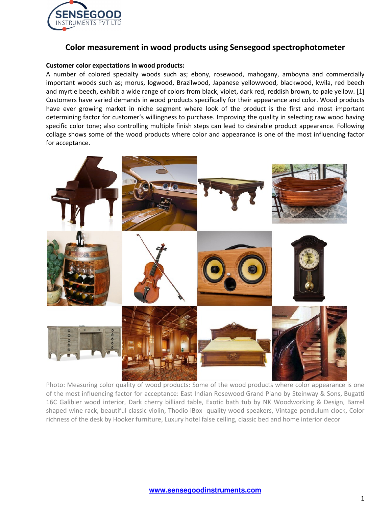

# **Color measurement in wood products using Sensegood spectrophotometer**

### **Customer color expectations in wood products:**

A number of colored specialty woods such as; ebony, rosewood, mahogany, amboyna and commercially important woods such as; morus, logwood, Brazilwood, Japanese yellowwood, blackwood, kwila, red beech and myrtle beech, exhibit a wide range of colors from black, violet, dark red, reddish brown, to pale yellow. [1] Customers have varied demands in wood products specifically for their appearance and color. Wood products have ever growing market in niche segment where look of the product is the first and most important determining factor for customer's willingness to purchase. Improving the quality in selecting raw wood having specific color tone; also controlling multiple finish steps can lead to desirable product appearance. Following collage shows some of the wood products where color and appearance is one of the most influencing factor for acceptance.



Photo: Measuring color quality of wood products: Some of the wood products where color appearance is one of the most influencing factor for acceptance: East Indian Rosewood Grand Piano by Steinway & Sons, Bugatti 16C Galibier wood interior, Dark cherry billiard table, Exotic bath tub by NK Woodworking & Design, Barrel shaped wine rack, beautiful classic violin, Thodio iBox quality wood speakers, Vintage pendulum clock, Color richness of the desk by Hooker furniture, Luxury hotel false ceiling, classic bed and home interior decor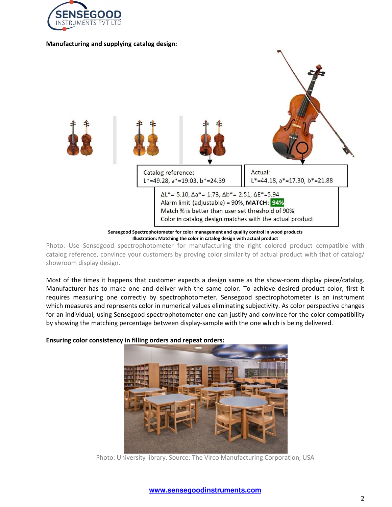

#### **Manufacturing and supplying catalog design:**



**Illustration: Matching the color in catalog design with actual product** 

Photo: Use Sensegood spectrophotometer for manufacturing the right colored product compatible with catalog reference, convince your customers by proving color similarity of actual product with that of catalog/ showroom display design.

Most of the times it happens that customer expects a design same as the show-room display piece/catalog. Manufacturer has to make one and deliver with the same color. To achieve desired product color, first it requires measuring one correctly by spectrophotometer. Sensegood spectrophotometer is an instrument which measures and represents color in numerical values eliminating subjectivity. As color perspective changes for an individual, using Sensegood spectrophotometer one can justify and convince for the color compatibility by showing the matching percentage between display-sample with the one which is being delivered.

**Ensuring color consistency in filling orders and repeat orders:** 



Photo: University library. Source: The Virco Manufacturing Corporation, USA

# **www.sensegoodinstruments.com**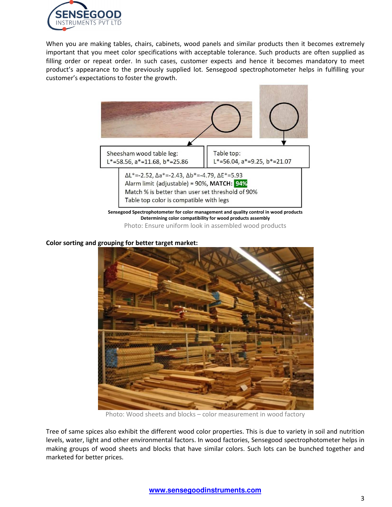

When you are making tables, chairs, cabinets, wood panels and similar products then it becomes extremely important that you meet color specifications with acceptable tolerance. Such products are often supplied as filling order or repeat order. In such cases, customer expects and hence it becomes mandatory to meet product's appearance to the previously supplied lot. Sensegood spectrophotometer helps in fulfilling your customer's expectations to foster the growth.



**Determining color compatibility for wood products assembly**  Photo: Ensure uniform look in assembled wood products

### **Color sorting and grouping for better target market:**



Photo: Wood sheets and blocks – color measurement in wood factory

Tree of same spices also exhibit the different wood color properties. This is due to variety in soil and nutrition levels, water, light and other environmental factors. In wood factories, Sensegood spectrophotometer helps in making groups of wood sheets and blocks that have similar colors. Such lots can be bunched together and marketed for better prices.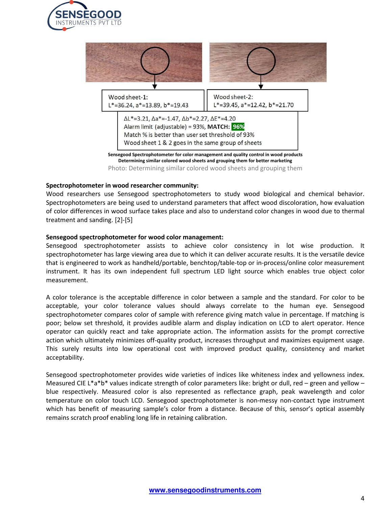



#### **Spectrophotometer in wood researcher community:**

Wood researchers use Sensegood spectrophotometers to study wood biological and chemical behavior. Spectrophotometers are being used to understand parameters that affect wood discoloration, how evaluation of color differences in wood surface takes place and also to understand color changes in wood due to thermal treatment and sanding. [2]-[5]

### **Sensegood spectrophotometer for wood color management:**

Sensegood spectrophotometer assists to achieve color consistency in lot wise production. It spectrophotometer has large viewing area due to which it can deliver accurate results. It is the versatile device that is engineered to work as handheld/portable, benchtop/table-top or in-process/online color measurement instrument. It has its own independent full spectrum LED light source which enables true object color measurement.

A color tolerance is the acceptable difference in color between a sample and the standard. For color to be acceptable, your color tolerance values should always correlate to the human eye. Sensegood spectrophotometer compares color of sample with reference giving match value in percentage. If matching is poor; below set threshold, it provides audible alarm and display indication on LCD to alert operator. Hence operator can quickly react and take appropriate action. The information assists for the prompt corrective action which ultimately minimizes off-quality product, increases throughput and maximizes equipment usage. This surely results into low operational cost with improved product quality, consistency and market acceptability.

Sensegood spectrophotometer provides wide varieties of indices like whiteness index and yellowness index. Measured CIE L\*a\*b\* values indicate strength of color parameters like: bright or dull, red – green and yellow – blue respectively. Measured color is also represented as reflectance graph, peak wavelength and color temperature on color touch LCD. Sensegood spectrophotometer is non-messy non-contact type instrument which has benefit of measuring sample's color from a distance. Because of this, sensor's optical assembly remains scratch proof enabling long life in retaining calibration.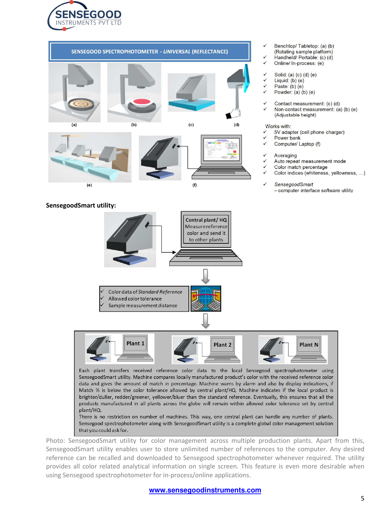



### **SensegoodSmart utility:**

- Benchtop/Tabletop: (a) (b)
- (Rotating sample platform)
- Handheld/Portable: (c) (d)  $\checkmark$
- Online/ In-process: (e)
- Solid: (a) (c) (d) (e)
- $\checkmark$ Liquid:  $(b)$   $(e)$
- Paste:  $(b)$  (e)
- Powder:  $(a)$   $(b)$   $(e)$
- Contact measurement: (c) (d)
- Non-contact measurement: (a) (b) (e) (Adjustable height)

#### Works with:

- 5V adapter (cell phone charger)
- Power bank
- Computer/ Laptop (f)
- Averaging
- Auto repeat measurement mode
- Color match percentage
- Color indices (whiteness, yellowness, ...)
- **SensegoodSmart** 
	- computer interface software utility



Photo: SensegoodSmart utility for color management across multiple production plants. Apart from this, SensegoodSmart utility enables user to store unlimited number of references to the computer. Any desired reference can be recalled and downloaded to Sensegood spectrophotometer whenever required. The utility provides all color related analytical information on single screen. This feature is even more desirable when using Sensegood spectrophotometer for in-process/online applications.

#### **www.sensegoodinstruments.com**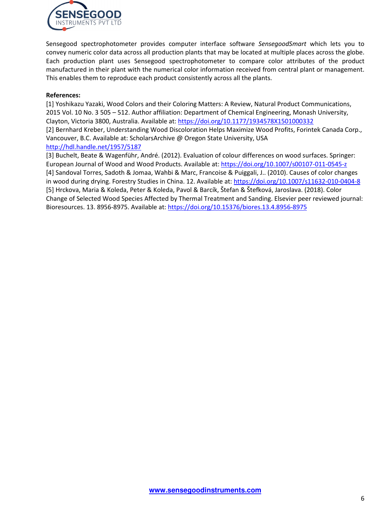

Sensegood spectrophotometer provides computer interface software *SensegoodSmart* which lets you to convey numeric color data across all production plants that may be located at multiple places across the globe. Each production plant uses Sensegood spectrophotometer to compare color attributes of the product manufactured in their plant with the numerical color information received from central plant or management. This enables them to reproduce each product consistently across all the plants.

# **References:**

[1] Yoshikazu Yazaki, Wood Colors and their Coloring Matters: A Review, Natural Product Communications, 2015 Vol. 10 No. 3 505 – 512. Author affiliation: Department of Chemical Engineering, Monash University, Clayton, Victoria 3800, Australia. Available at: https://doi.org/10.1177/1934578X1501000332 [2] Bernhard Kreber, Understanding Wood Discoloration Helps Maximize Wood Profits, Forintek Canada Corp., Vancouver, B.C. Available at: ScholarsArchive @ Oregon State University, USA http://hdl.handle.net/1957/5187

[3] Buchelt, Beate & Wagenführ, André. (2012). Evaluation of colour differences on wood surfaces. Springer: European Journal of Wood and Wood Products. Available at: https://doi.org/10.1007/s00107-011-0545-z [4] Sandoval Torres, Sadoth & Jomaa, Wahbi & Marc, Francoise & Puiggali, J.. (2010). Causes of color changes in wood during drying. Forestry Studies in China. 12. Available at: https://doi.org/10.1007/s11632-010-0404-8 [5] Hrckova, Maria & Koleda, Peter & Koleda, Pavol & Barcík, Štefan & Štefková, Jaroslava. (2018). Color Change of Selected Wood Species Affected by Thermal Treatment and Sanding. Elsevier peer reviewed journal: Bioresources. 13. 8956-8975. Available at: https://doi.org/10.15376/biores.13.4.8956-8975